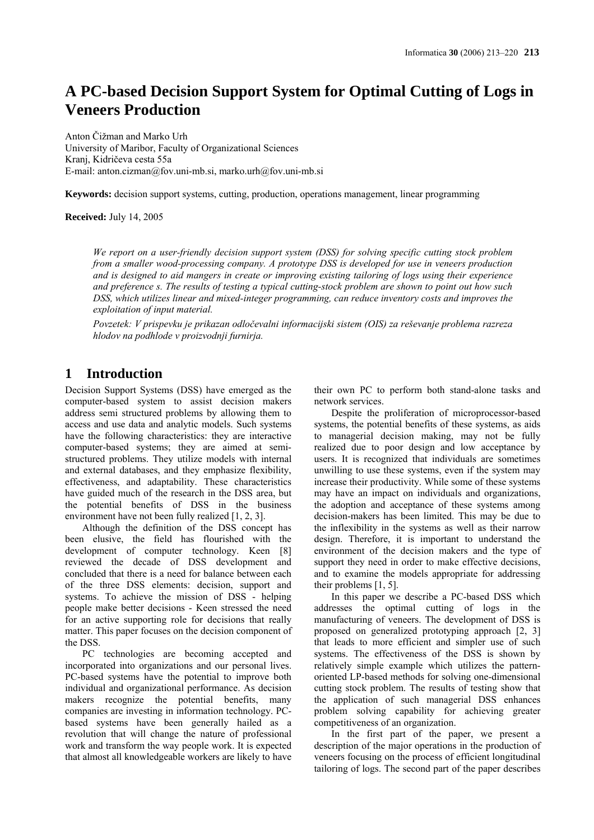# **A PC-based Decision Support System for Optimal Cutting of Logs in Veneers Production**

Anton Čižman and Marko Urh University of Maribor, Faculty of Organizational Sciences Kranj, Kidričeva cesta 55a E-mail: anton.cizman@fov.uni-mb.si, marko.urh@fov.uni-mb.si

**Keywords:** decision support systems, cutting, production, operations management, linear programming

**Received:** July 14, 2005

*We report on a user-friendly decision support system (DSS) for solving specific cutting stock problem from a smaller wood-processing company. A prototype DSS is developed for use in veneers production and is designed to aid mangers in create or improving existing tailoring of logs using their experience and preference s. The results of testing a typical cutting-stock problem are shown to point out how such DSS, which utilizes linear and mixed-integer programming, can reduce inventory costs and improves the exploitation of input material.* 

*Povzetek: V prispevku je prikazan odločevalni informacijski sistem (OIS) za reševanje problema razreza hlodov na podhlode v proizvodnji furnirja.* 

# **1 Introduction**

Decision Support Systems (DSS) have emerged as the computer-based system to assist decision makers address semi structured problems by allowing them to access and use data and analytic models. Such systems have the following characteristics: they are interactive computer-based systems; they are aimed at semistructured problems. They utilize models with internal and external databases, and they emphasize flexibility, effectiveness, and adaptability. These characteristics have guided much of the research in the DSS area, but the potential benefits of DSS in the business environment have not been fully realized [1, 2, 3].

Although the definition of the DSS concept has been elusive, the field has flourished with the development of computer technology. Keen [8] reviewed the decade of DSS development and concluded that there is a need for balance between each of the three DSS elements: decision, support and systems. To achieve the mission of DSS - helping people make better decisions - Keen stressed the need for an active supporting role for decisions that really matter. This paper focuses on the decision component of the DSS.

PC technologies are becoming accepted and incorporated into organizations and our personal lives. PC-based systems have the potential to improve both individual and organizational performance. As decision makers recognize the potential benefits, many companies are investing in information technology. PCbased systems have been generally hailed as a revolution that will change the nature of professional work and transform the way people work. It is expected that almost all knowledgeable workers are likely to have their own PC to perform both stand-alone tasks and network services.

Despite the proliferation of microprocessor-based systems, the potential benefits of these systems, as aids to managerial decision making, may not be fully realized due to poor design and low acceptance by users. It is recognized that individuals are sometimes unwilling to use these systems, even if the system may increase their productivity. While some of these systems may have an impact on individuals and organizations, the adoption and acceptance of these systems among decision-makers has been limited. This may be due to the inflexibility in the systems as well as their narrow design. Therefore, it is important to understand the environment of the decision makers and the type of support they need in order to make effective decisions, and to examine the models appropriate for addressing their problems [1, 5].

In this paper we describe a PC-based DSS which addresses the optimal cutting of logs in the manufacturing of veneers. The development of DSS is proposed on generalized prototyping approach [2, 3] that leads to more efficient and simpler use of such systems. The effectiveness of the DSS is shown by relatively simple example which utilizes the patternoriented LP-based methods for solving one-dimensional cutting stock problem. The results of testing show that the application of such managerial DSS enhances problem solving capability for achieving greater competitiveness of an organization.

In the first part of the paper, we present a description of the major operations in the production of veneers focusing on the process of efficient longitudinal tailoring of logs. The second part of the paper describes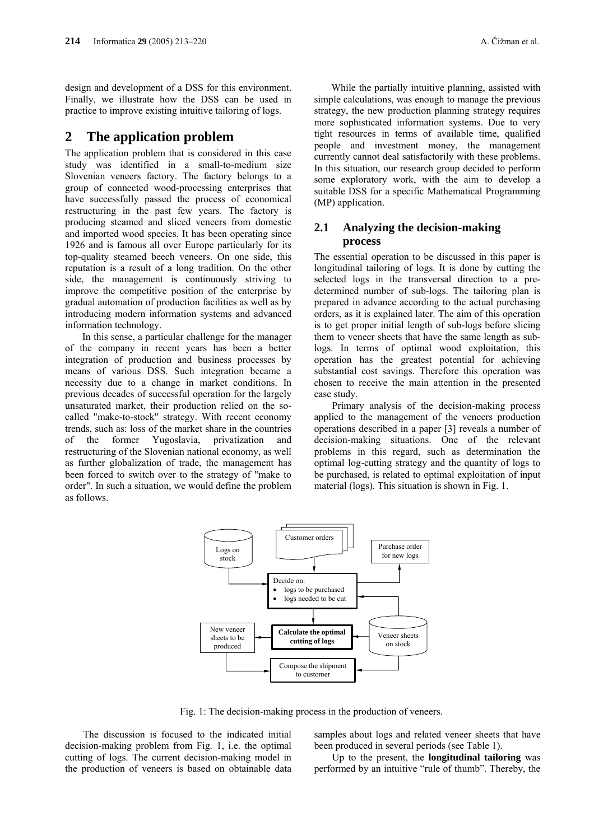design and development of a DSS for this environment. Finally, we illustrate how the DSS can be used in practice to improve existing intuitive tailoring of logs.

## **2 The application problem**

The application problem that is considered in this case study was identified in a small-to-medium size Slovenian veneers factory. The factory belongs to a group of connected wood-processing enterprises that have successfully passed the process of economical restructuring in the past few years. The factory is producing steamed and sliced veneers from domestic and imported wood species. It has been operating since 1926 and is famous all over Europe particularly for its top-quality steamed beech veneers. On one side, this reputation is a result of a long tradition. On the other side, the management is continuously striving to improve the competitive position of the enterprise by gradual automation of production facilities as well as by introducing modern information systems and advanced information technology.

In this sense, a particular challenge for the manager of the company in recent years has been a better integration of production and business processes by means of various DSS. Such integration became a necessity due to a change in market conditions. In previous decades of successful operation for the largely unsaturated market, their production relied on the socalled "make-to-stock" strategy. With recent economy trends, such as: loss of the market share in the countries of the former Yugoslavia, privatization and restructuring of the Slovenian national economy, as well as further globalization of trade, the management has been forced to switch over to the strategy of "make to order". In such a situation, we would define the problem as follows.

While the partially intuitive planning, assisted with simple calculations, was enough to manage the previous strategy, the new production planning strategy requires more sophisticated information systems. Due to very tight resources in terms of available time, qualified people and investment money, the management currently cannot deal satisfactorily with these problems. In this situation, our research group decided to perform some exploratory work, with the aim to develop a suitable DSS for a specific Mathematical Programming (MP) application.

### **2.1 Analyzing the decision-making process**

The essential operation to be discussed in this paper is longitudinal tailoring of logs. It is done by cutting the selected logs in the transversal direction to a predetermined number of sub-logs. The tailoring plan is prepared in advance according to the actual purchasing orders, as it is explained later. The aim of this operation is to get proper initial length of sub-logs before slicing them to veneer sheets that have the same length as sublogs. In terms of optimal wood exploitation, this operation has the greatest potential for achieving substantial cost savings. Therefore this operation was chosen to receive the main attention in the presented case study.

 Primary analysis of the decision-making process applied to the management of the veneers production operations described in a paper [3] reveals a number of decision-making situations. One of the relevant problems in this regard, such as determination the optimal log-cutting strategy and the quantity of logs to be purchased, is related to optimal exploitation of input material (logs). This situation is shown in Fig. 1.



Fig. 1: The decision-making process in the production of veneers.

 The discussion is focused to the indicated initial decision-making problem from Fig. 1, i.e. the optimal cutting of logs. The current decision-making model in the production of veneers is based on obtainable data samples about logs and related veneer sheets that have been produced in several periods (see Table 1).

 Up to the present, the **longitudinal tailoring** was performed by an intuitive "rule of thumb". Thereby, the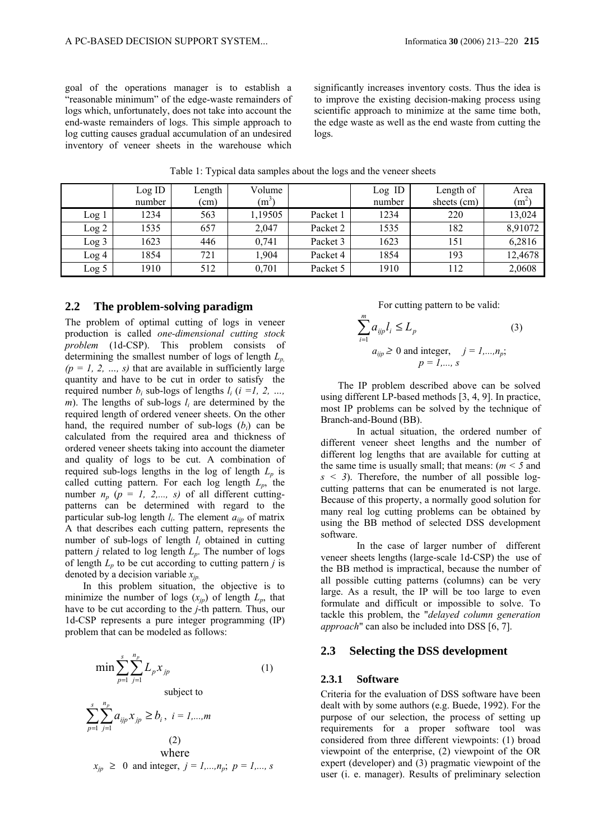goal of the operations manager is to establish a "reasonable minimum" of the edge-waste remainders of logs which, unfortunately, does not take into account the end-waste remainders of logs. This simple approach to log cutting causes gradual accumulation of an undesired inventory of veneer sheets in the warehouse which significantly increases inventory costs. Thus the idea is to improve the existing decision-making process using scientific approach to minimize at the same time both, the edge waste as well as the end waste from cutting the logs.

|       | Log ID<br>number | Length<br>(cm) | Volume<br>$(m^3)$ |          | Log ID<br>number | Length of<br>sheets (cm) | Area<br>$(m^2)$ |
|-------|------------------|----------------|-------------------|----------|------------------|--------------------------|-----------------|
| Log l | 1234             | 563            | 1,19505           | Packet 1 | 1234             | 220                      | 13,024          |
| Log 2 | 1535             | 657            | 2,047             | Packet 2 | 1535             | 182                      | 8,91072         |
| Log 3 | 1623             | 446            | 0,741             | Packet 3 | 1623             | 151                      | 6,2816          |
| Log 4 | 1854             | 721            | ,904              | Packet 4 | 1854             | 193                      | 12,4678         |
| Log 5 | 1910             | 512            | 0,701             | Packet 5 | 1910             | 112                      | 2,0608          |

Table 1: Typical data samples about the logs and the veneer sheets

#### **2.2 The problem-solving paradigm**

The problem of optimal cutting of logs in veneer production is called *one-dimensional cutting stock problem* (1d-CSP). This problem consists of determining the smallest number of logs of length  $L_n$  $(p = 1, 2, ..., s)$  that are available in sufficiently large quantity and have to be cut in order to satisfy the required number  $b_i$  sub-logs of lengths  $l_i$  ( $i =l, 2, ...,$ *m*). The lengths of sub-logs  $l_i$  are determined by the required length of ordered veneer sheets. On the other hand, the required number of sub-logs  $(b_i)$  can be calculated from the required area and thickness of ordered veneer sheets taking into account the diameter and quality of logs to be cut. A combination of required sub-logs lengths in the log of length  $L_p$  is called cutting pattern. For each log length  $L_p$ , the number  $n_p$  ( $p = 1, 2,..., s$ ) of all different cuttingpatterns can be determined with regard to the particular sub-log length  $l_i$ . The element  $a_{ijp}$  of matrix A that describes each cutting pattern, represents the number of sub-logs of length *li* obtained in cutting pattern *j* related to log length *Lp*. The number of logs of length  $L_p$  to be cut according to cutting pattern *j* is denoted by a decision variable *xjp.* 

 In this problem situation, the objective is to minimize the number of logs  $(x_{ip})$  of length  $L_p$ , that have to be cut according to the *j*-th pattern*.* Thus, our 1d-CSP represents a pure integer programming (IP) problem that can be modeled as follows:

$$
\min \sum_{p=1}^{s} \sum_{j=1}^{n_p} L_p x_{jp}
$$
\nsubject to  
\n
$$
\sum_{p=1}^{s} \sum_{j=1}^{n_p} a_{ijp} x_{jp} \ge b_i, \quad i = 1,...,m
$$
\n(2)  
\nwhere  
\n
$$
x_{jp} \ge 0 \text{ and integer, } j = 1,...,n_p; \quad p = 1,...,s
$$

For cutting pattern to be valid:

$$
\sum_{i=1}^{m} a_{ijp} l_i \le L_p
$$
\n
$$
a_{ijp} \ge 0 \text{ and integer}, \quad j = 1,...,n_p;
$$
\n
$$
p = 1,...,s
$$
\n(3)

The IP problem described above can be solved using different LP-based methods [3, 4, 9]. In practice, most IP problems can be solved by the technique of Branch-and-Bound (BB).

 In actual situation, the ordered number of different veneer sheet lengths and the number of different log lengths that are available for cutting at the same time is usually small; that means:  $(m < 5$  and  $s \leq 3$ ). Therefore, the number of all possible logcutting patterns that can be enumerated is not large. Because of this property, a normally good solution for many real log cutting problems can be obtained by using the BB method of selected DSS development software.

 In the case of larger number of different veneer sheets lengths (large-scale 1d-CSP) the use of the BB method is impractical, because the number of all possible cutting patterns (columns) can be very large. As a result, the IP will be too large to even formulate and difficult or impossible to solve. To tackle this problem, the "*delayed column generation approach*" can also be included into DSS [6, 7].

#### **2.3 Selecting the DSS development**

#### **2.3.1 Software**

Criteria for the evaluation of DSS software have been dealt with by some authors (e.g. Buede, 1992). For the purpose of our selection, the process of setting up requirements for a proper software tool was considered from three different viewpoints: (1) broad viewpoint of the enterprise, (2) viewpoint of the OR expert (developer) and (3) pragmatic viewpoint of the user (i. e. manager). Results of preliminary selection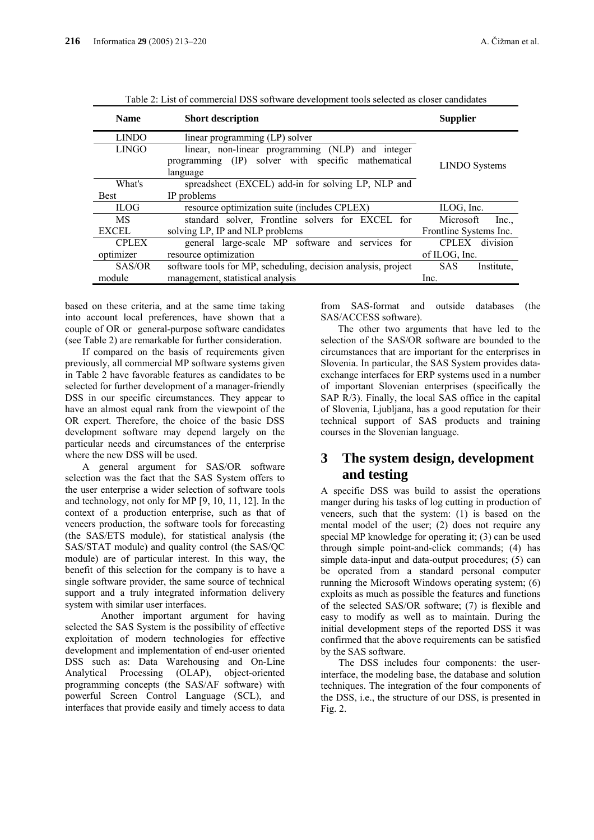| <b>Name</b>  | <b>Short description</b>                                      | <b>Supplier</b>          |  |
|--------------|---------------------------------------------------------------|--------------------------|--|
| <b>LINDO</b> | linear programming (LP) solver                                |                          |  |
| <b>LINGO</b> | linear, non-linear programming (NLP) and integer              | <b>LINDO</b> Systems     |  |
|              | (IP) solver with specific mathematical<br>programming         |                          |  |
|              | language                                                      |                          |  |
| What's       | spreadsheet (EXCEL) add-in for solving LP, NLP and            |                          |  |
| <b>Best</b>  | IP problems                                                   |                          |  |
| <b>ILOG</b>  | resource optimization suite (includes CPLEX)                  | ILOG, Inc.               |  |
| MS           | standard solver, Frontline solvers for EXCEL for              | Microsoft<br>Inc         |  |
| <b>EXCEL</b> | solving LP, IP and NLP problems                               | Frontline Systems Inc.   |  |
| <b>CPLEX</b> | general large-scale MP software and<br>services for           | division<br><b>CPLEX</b> |  |
| optimizer    | resource optimization                                         | of ILOG, Inc.            |  |
| SAS/OR       | software tools for MP, scheduling, decision analysis, project | <b>SAS</b><br>Institute. |  |
| module       | management, statistical analysis                              | Inc.                     |  |

Table 2: List of commercial DSS software development tools selected as closer candidates

based on these criteria, and at the same time taking into account local preferences, have shown that a couple of OR or general-purpose software candidates (see Table 2) are remarkable for further consideration.

If compared on the basis of requirements given previously, all commercial MP software systems given in Table 2 have favorable features as candidates to be selected for further development of a manager-friendly DSS in our specific circumstances. They appear to have an almost equal rank from the viewpoint of the OR expert. Therefore, the choice of the basic DSS development software may depend largely on the particular needs and circumstances of the enterprise where the new DSS will be used.

A general argument for SAS/OR software selection was the fact that the SAS System offers to the user enterprise a wider selection of software tools and technology, not only for MP [9, 10, 11, 12]. In the context of a production enterprise, such as that of veneers production, the software tools for forecasting (the SAS/ETS module), for statistical analysis (the SAS/STAT module) and quality control (the SAS/QC module) are of particular interest. In this way, the benefit of this selection for the company is to have a single software provider, the same source of technical support and a truly integrated information delivery system with similar user interfaces.

 Another important argument for having selected the SAS System is the possibility of effective exploitation of modern technologies for effective development and implementation of end-user oriented DSS such as: Data Warehousing and On-Line Analytical Processing (OLAP), object-oriented programming concepts (the SAS/AF software) with powerful Screen Control Language (SCL), and interfaces that provide easily and timely access to data

from SAS-format and outside databases (the SAS/ACCESS software).

The other two arguments that have led to the selection of the SAS/OR software are bounded to the circumstances that are important for the enterprises in Slovenia. In particular, the SAS System provides dataexchange interfaces for ERP systems used in a number of important Slovenian enterprises (specifically the SAP R/3). Finally, the local SAS office in the capital of Slovenia, Ljubljana, has a good reputation for their technical support of SAS products and training courses in the Slovenian language.

# **3 The system design, development and testing**

A specific DSS was build to assist the operations manger during his tasks of log cutting in production of veneers, such that the system: (1) is based on the mental model of the user; (2) does not require any special MP knowledge for operating it; (3) can be used through simple point-and-click commands; (4) has simple data-input and data-output procedures; (5) can be operated from a standard personal computer running the Microsoft Windows operating system; (6) exploits as much as possible the features and functions of the selected SAS/OR software; (7) is flexible and easy to modify as well as to maintain. During the initial development steps of the reported DSS it was confirmed that the above requirements can be satisfied by the SAS software.

 The DSS includes four components: the userinterface, the modeling base, the database and solution techniques. The integration of the four components of the DSS, i.e., the structure of our DSS, is presented in Fig. 2.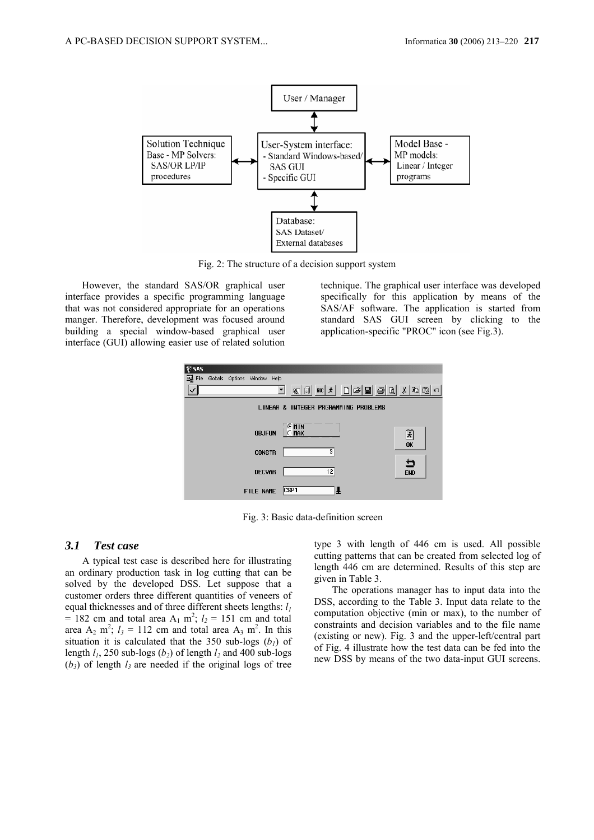

Fig. 2: The structure of a decision support system

However, the standard SAS/OR graphical user interface provides a specific programming language that was not considered appropriate for an operations manger. Therefore, development was focused around building a special window-based graphical user interface (GUI) allowing easier use of related solution

technique. The graphical user interface was developed specifically for this application by means of the SAS/AF software. The application is started from standard SAS GUI screen by clicking to the application-specific "PROC" icon (see Fig.3).



Fig. 3: Basic data-definition screen

#### *3.1 Test case*

A typical test case is described here for illustrating an ordinary production task in log cutting that can be solved by the developed DSS. Let suppose that a customer orders three different quantities of veneers of equal thicknesses and of three different sheets lengths:  $l_1$  $= 182$  cm and total area A<sub>1</sub> m<sup>2</sup>;  $l_2 = 151$  cm and total area  $A_2$  m<sup>2</sup>;  $l_3 = 112$  cm and total area  $A_3$  m<sup>2</sup>. In this situation it is calculated that the 350 sub-logs  $(b_1)$  of length  $l_1$ , 250 sub-logs ( $b_2$ ) of length  $l_2$  and 400 sub-logs  $(b_3)$  of length  $l_3$  are needed if the original logs of tree

type 3 with length of 446 cm is used. All possible cutting patterns that can be created from selected log of length 446 cm are determined. Results of this step are given in Table 3.

 The operations manager has to input data into the DSS, according to the Table 3. Input data relate to the computation objective (min or max), to the number of constraints and decision variables and to the file name (existing or new). Fig. 3 and the upper-left/central part of Fig. 4 illustrate how the test data can be fed into the new DSS by means of the two data-input GUI screens.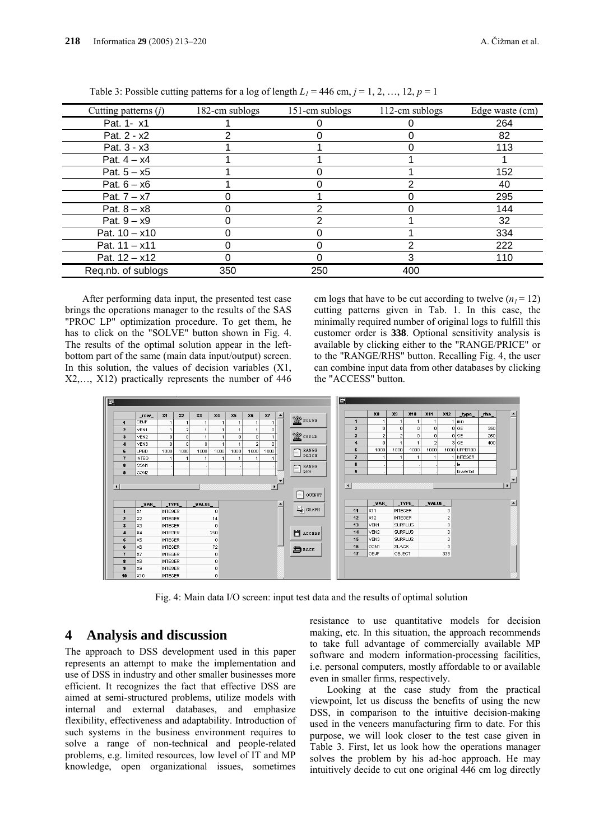| Cutting patterns $(j)$ | 182-cm sublogs | 151-cm sublogs | 112-cm sublogs | Edge waste (cm) |
|------------------------|----------------|----------------|----------------|-----------------|
| Pat. 1- x1             |                |                |                | 264             |
| Pat. $2 - x2$          |                |                |                | 82              |
| Pat. 3 - x3            |                |                |                | 113             |
| Pat. $4 - x4$          |                |                |                |                 |
| Pat. $5 - x5$          |                |                |                | 152             |
| Pat. $6 - x6$          |                |                |                | 40              |
| Pat. $7 - x7$          |                |                |                | 295             |
| Pat. $8 - x8$          |                | ⌒              |                | 144             |
| Pat. $9 - x9$          |                |                |                | 32              |
| Pat. $10 - x10$        |                |                |                | 334             |
| Pat. $11 - x11$        |                |                | ⌒              | 222             |
| Pat. $12 - x12$        |                |                | 3              | 110             |
| Reg.nb. of sublogs     | 350            | 250            | 400            |                 |

Table 3: Possible cutting patterns for a log of length  $L_1 = 446$  cm,  $j = 1, 2, ..., 12, p = 1$ 

After performing data input, the presented test case brings the operations manager to the results of the SAS "PROC LP" optimization procedure. To get them, he has to click on the "SOLVE" button shown in Fig. 4. The results of the optimal solution appear in the leftbottom part of the same (main data input/output) screen. In this solution, the values of decision variables (X1, X2,…, X12) practically represents the number of 446 cm logs that have to be cut according to twelve  $(n_1 = 12)$ cutting patterns given in Tab. 1. In this case, the minimally required number of original logs to fulfill this customer order is **338**. Optional sensitivity analysis is available by clicking either to the "RANGE/PRICE" or to the "RANGE/RHS" button. Recalling Fig. 4, the user can combine input data from other databases by clicking the "ACCESS" button.



Fig. 4: Main data I/O screen: input test data and the results of optimal solution

### **4 Analysis and discussion**

The approach to DSS development used in this paper represents an attempt to make the implementation and use of DSS in industry and other smaller businesses more efficient. It recognizes the fact that effective DSS are aimed at semi-structured problems, utilize models with internal and external databases, and emphasize flexibility, effectiveness and adaptability. Introduction of such systems in the business environment requires to solve a range of non-technical and people-related problems, e.g. limited resources, low level of IT and MP knowledge, open organizational issues, sometimes resistance to use quantitative models for decision making, etc. In this situation, the approach recommends to take full advantage of commercially available MP software and modern information-processing facilities, i.e. personal computers, mostly affordable to or available even in smaller firms, respectively.

Looking at the case study from the practical viewpoint, let us discuss the benefits of using the new DSS, in comparison to the intuitive decision-making used in the veneers manufacturing firm to date. For this purpose, we will look closer to the test case given in Table 3. First, let us look how the operations manager solves the problem by his ad-hoc approach. He may intuitively decide to cut one original 446 cm log directly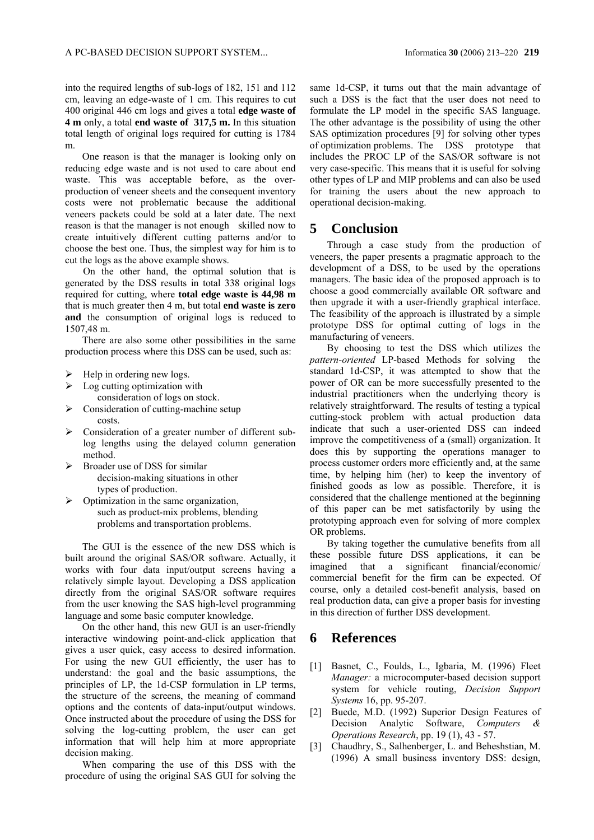into the required lengths of sub-logs of 182, 151 and 112 cm, leaving an edge-waste of 1 cm. This requires to cut 400 original 446 cm logs and gives a total **edge waste of 4 m** only, a total **end waste of 317,5 m.** In this situation total length of original logs required for cutting is 1784 m.

One reason is that the manager is looking only on reducing edge waste and is not used to care about end waste. This was acceptable before, as the overproduction of veneer sheets and the consequent inventory costs were not problematic because the additional veneers packets could be sold at a later date. The next reason is that the manager is not enough skilled now to create intuitively different cutting patterns and/or to choose the best one. Thus, the simplest way for him is to cut the logs as the above example shows.

 On the other hand, the optimal solution that is generated by the DSS results in total 338 original logs required for cutting, where **total edge waste is 44,98 m**  that is much greater then 4 m, but total **end waste is zero and** the consumption of original logs is reduced to 1507,48 m.

There are also some other possibilities in the same production process where this DSS can be used, such as:

- $\blacktriangleright$  Help in ordering new logs.
- $\triangleright$  Log cutting optimization with
	- consideration of logs on stock.
- Consideration of cutting-machine setup costs.
- Consideration of a greater number of different sublog lengths using the delayed column generation method.
- Broader use of DSS for similar decision-making situations in other types of production.
- ¾ Optimization in the same organization, such as product-mix problems, blending problems and transportation problems.

The GUI is the essence of the new DSS which is built around the original SAS/OR software. Actually, it works with four data input/output screens having a relatively simple layout. Developing a DSS application directly from the original SAS/OR software requires from the user knowing the SAS high-level programming language and some basic computer knowledge.

On the other hand, this new GUI is an user-friendly interactive windowing point-and-click application that gives a user quick, easy access to desired information. For using the new GUI efficiently, the user has to understand: the goal and the basic assumptions, the principles of LP, the 1d-CSP formulation in LP terms, the structure of the screens, the meaning of command options and the contents of data-input/output windows. Once instructed about the procedure of using the DSS for solving the log-cutting problem, the user can get information that will help him at more appropriate decision making.

When comparing the use of this DSS with the procedure of using the original SAS GUI for solving the same 1d-CSP, it turns out that the main advantage of such a DSS is the fact that the user does not need to formulate the LP model in the specific SAS language. The other advantage is the possibility of using the other SAS optimization procedures [9] for solving other types of optimization problems. The DSS prototype that includes the PROC LP of the SAS/OR software is not very case-specific. This means that it is useful for solving other types of LP and MIP problems and can also be used for training the users about the new approach to operational decision-making.

### **5 Conclusion**

Through a case study from the production of veneers, the paper presents a pragmatic approach to the development of a DSS, to be used by the operations managers. The basic idea of the proposed approach is to choose a good commercially available OR software and then upgrade it with a user-friendly graphical interface. The feasibility of the approach is illustrated by a simple prototype DSS for optimal cutting of logs in the manufacturing of veneers.

By choosing to test the DSS which utilizes the *pattern-oriented* LP-based Methods for solving the standard 1d-CSP, it was attempted to show that the power of OR can be more successfully presented to the industrial practitioners when the underlying theory is relatively straightforward. The results of testing a typical cutting-stock problem with actual production data indicate that such a user-oriented DSS can indeed improve the competitiveness of a (small) organization. It does this by supporting the operations manager to process customer orders more efficiently and, at the same time, by helping him (her) to keep the inventory of finished goods as low as possible. Therefore, it is considered that the challenge mentioned at the beginning of this paper can be met satisfactorily by using the prototyping approach even for solving of more complex OR problems.

By taking together the cumulative benefits from all these possible future DSS applications, it can be imagined that a significant financial/economic/ commercial benefit for the firm can be expected. Of course, only a detailed cost-benefit analysis, based on real production data, can give a proper basis for investing in this direction of further DSS development.

# **6 References**

- [1] Basnet, C., Foulds, L., Igbaria, M. (1996) Fleet *Manager:* a microcomputer-based decision support system for vehicle routing, *Decision Support Systems* 16, pp. 95-207.
- [2] Buede, M.D. (1992) Superior Design Features of Decision Analytic Software, *Computers & Operations Research*, pp. 19 (1), 43 - 57.
- [3] Chaudhry, S., Salhenberger, L. and Beheshstian, M. (1996) A small business inventory DSS: design,